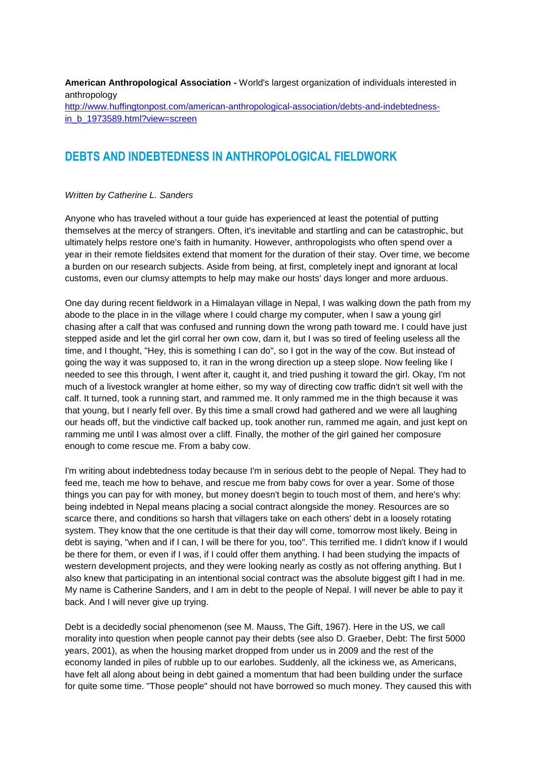**[American Anthropological Association](http://www.huffingtonpost.com/american-anthropological-association) -** World's largest organization of individuals interested in anthropology [http://www.huffingtonpost.com/american-anthropological-association/debts-and-indebtedness](http://www.huffingtonpost.com/american-anthropological-association/debts-and-indebtedness-in_b_1973589.html?view=screen)[in\\_b\\_1973589.html?view=screen](http://www.huffingtonpost.com/american-anthropological-association/debts-and-indebtedness-in_b_1973589.html?view=screen)

## **DEBTS AND INDEBTEDNESS IN ANTHROPOLOGICAL FIELDWORK**

## *Written by Catherine L. Sanders*

Anyone who has traveled without a tour guide has experienced at least the potential of putting themselves at the mercy of strangers. Often, it's inevitable and startling and can be catastrophic, but ultimately helps restore one's faith in humanity. However, anthropologists who often spend over a year in their remote fieldsites extend that moment for the duration of their stay. Over time, we become a burden on our research subjects. Aside from being, at first, completely inept and ignorant at local customs, even our clumsy attempts to help may make our hosts' days longer and more arduous.

One day during recent fieldwork in a Himalayan village in Nepal, I was walking down the path from my abode to the place in in the village where I could charge my computer, when I saw a young girl chasing after a calf that was confused and running down the wrong path toward me. I could have just stepped aside and let the girl corral her own cow, darn it, but I was so tired of feeling useless all the time, and I thought, "Hey, this is something I can do", so I got in the way of the cow. But instead of going the way it was supposed to, it ran in the wrong direction up a steep slope. Now feeling like I needed to see this through, I went after it, caught it, and tried pushing it toward the girl. Okay, I'm not much of a livestock wrangler at home either, so my way of directing cow traffic didn't sit well with the calf. It turned, took a running start, and rammed me. It only rammed me in the thigh because it was that young, but I nearly fell over. By this time a small crowd had gathered and we were all laughing our heads off, but the vindictive calf backed up, took another run, rammed me again, and just kept on ramming me until I was almost over a cliff. Finally, the mother of the girl gained her composure enough to come rescue me. From a baby cow.

I'm writing about indebtedness today because I'm in serious debt to the people of Nepal. They had to feed me, teach me how to behave, and rescue me from baby cows for over a year. Some of those things you can pay for with money, but money doesn't begin to touch most of them, and here's why: being indebted in Nepal means placing a social contract alongside the money. Resources are so scarce there, and conditions so harsh that villagers take on each others' debt in a loosely rotating system. They know that the one certitude is that their day will come, tomorrow most likely. Being in debt is saying, "when and if I can, I will be there for you, too". This terrified me. I didn't know if I would be there for them, or even if I was, if I could offer them anything. I had been studying the impacts of western development projects, and they were looking nearly as costly as not offering anything. But I also knew that participating in an intentional social contract was the absolute biggest gift I had in me. My name is Catherine Sanders, and I am in debt to the people of Nepal. I will never be able to pay it back. And I will never give up trying.

Debt is a decidedly social phenomenon (see M. Mauss, The Gift, 1967). Here in the US, we call morality into question when people cannot pay their debts (see also D. Graeber, Debt: The first 5000 years, 2001), as when the housing market dropped from under us in 2009 and the rest of the economy landed in piles of rubble up to our earlobes. Suddenly, all the ickiness we, as Americans, have felt all along about being in debt gained a momentum that had been building under the surface for quite some time. "Those people" should not have borrowed so much money. They caused this with